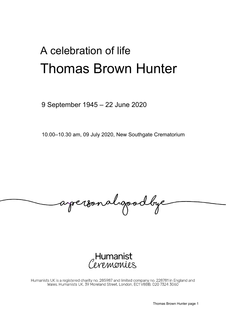## A celebration of life Thomas Brown Hunter

9 September 1945 – 22 June 2020

10.00–10.30 am, 09 July 2020, New Southgate Crematorium

apersonalgoodbye



Humanists UK is a registered charity no. 285987 and limited company no. 228781 in England and Wales. Humanists UK, 39 Moreland Street, London, EC1 V8BB, 020 7324 3060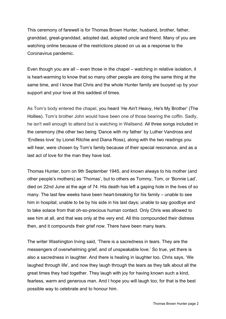This ceremony of farewell is for Thomas Brown Hunter, husband, brother, father, granddad, great-granddad, adopted dad, adopted uncle and friend. Many of you are watching online because of the restrictions placed on us as a response to the Coronavirus pandemic.

Even though you are all – even those in the chapel – watching in relative isolation, it is heart-warming to know that so many other people are doing the same thing at the same time, and I know that Chris and the whole Hunter family are buoyed up by your support and your love at this saddest of times.

As Tom's body entered the chapel, you heard 'He Ain't Heavy, He's My Brother' (The Hollies). Tom's brother John would have been one of those bearing the coffin. Sadly, he isn't well enough to attend but is watching in Wallsend. All three songs included in the ceremony (the other two being 'Dance with my father' by Luther Vandross and 'Endless love' by Lionel Ritchie and Diana Ross), along with the two readings you will hear, were chosen by Tom's family because of their special resonance, and as a last act of love for the man they have lost.

Thomas Hunter, born on 9th September 1945, and known always to his mother (and other people's mothers) as 'Thomas', but to others as Tommy, Tom, or 'Bonnie Lad', died on 22nd June at the age of 74. His death has left a gaping hole in the lives of so many. The last few weeks have been heart-breaking for his family – unable to see him in hospital; unable to be by his side in his last days; unable to say goodbye and to take solace from that oh-so-precious human contact. Only Chris was allowed to see him at all, and that was only at the very end. All this compounded their distress then, and it compounds their grief now. There have been many tears.

The writer Washington Irving said, 'There is a sacredness in tears. They are the messengers of overwhelming grief, and of unspeakable love.' So true, yet there is also a sacredness in laughter. And there is healing in laughter too. Chris says, 'We laughed through life', and now they laugh through the tears as they talk about all the great times they had together. They laugh with joy for having known such a kind, fearless, warm and generous man. And I hope you will laugh too, for that is the best possible way to celebrate and to honour him.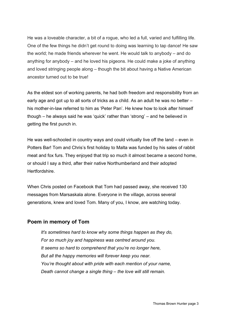He was a loveable character, a bit of a rogue, who led a full, varied and fulfilling life. One of the few things he didn't get round to doing was learning to tap dance! He saw the world; he made friends wherever he went. He would talk to anybody – and do anything for anybody – and he loved his pigeons. He could make a joke of anything and loved stringing people along – though the bit about having a Native American ancestor turned out to be true!

As the eldest son of working parents, he had both freedom and responsibility from an early age and got up to all sorts of tricks as a child. As an adult he was no better – his mother-in-law referred to him as 'Peter Pan'. He knew how to look after himself though – he always said he was 'quick' rather than 'strong' – and he believed in getting the first punch in.

He was well-schooled in country ways and could virtually live off the land – even in Potters Bar! Tom and Chris's first holiday to Malta was funded by his sales of rabbit meat and fox furs. They enjoyed that trip so much it almost became a second home, or should I say a third, after their native Northumberland and their adopted Hertfordshire.

When Chris posted on Facebook that Tom had passed away, she received 130 messages from Marsaskala alone. Everyone in the village, across several generations, knew and loved Tom. Many of you, I know, are watching today.

## **Poem in memory of Tom**

*It's sometimes hard to know why some things happen as they do, For so much joy and happiness was centred around you. It seems so hard to comprehend that you're no longer here, But all the happy memories will forever keep you near. You're thought about with pride with each mention of your name, Death cannot change a single thing – the love will still remain.*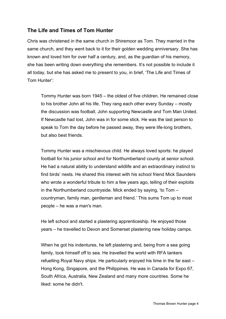## **The Life and Times of Tom Hunter**

Chris was christened in the same church in Shiremoor as Tom. They married in the same church, and they went back to it for their golden wedding anniversary. She has known and loved him for over half a century, and, as the guardian of his memory, she has been writing down everything she remembers. It's not possible to include it all today, but she has asked me to present to you, in brief, 'The Life and Times of Tom Hunter':

Tommy Hunter was born 1945 – the oldest of five children. He remained close to his brother John all his life. They rang each other every Sunday – mostly the discussion was football, John supporting Newcastle and Tom Man United. If Newcastle had lost, John was in for some stick. He was the last person to speak to Tom the day before he passed away, they were life-long brothers, but also best friends.

Tommy Hunter was a mischievous child. He always loved sports: he played football for his junior school and for Northumberland county at senior school. He had a natural ability to understand wildlife and an extraordinary instinct to find birds' nests. He shared this interest with his school friend Mick Saunders who wrote a wonderful tribute to him a few years ago, telling of their exploits in the Northumberland countryside. Mick ended by saying, 'to Tom – countryman, family man, gentleman and friend.' This sums Tom up to most people – he was a man's man.

He left school and started a plastering apprenticeship. He enjoyed those years – he travelled to Devon and Somerset plastering new holiday camps.

When he got his indentures, he left plastering and, being from a sea going family, took himself off to sea. He travelled the world with RFA tankers refuelling Royal Navy ships. He particularly enjoyed his time in the far east – Hong Kong, Singapore, and the Philippines. He was in Canada for Expo 67, South Africa, Australia, New Zealand and many more countries. Some he liked: some he didn't.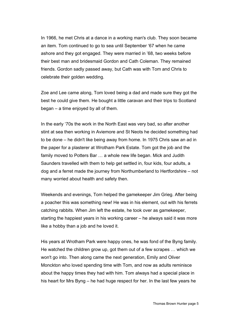In 1966, he met Chris at a dance in a working man's club. They soon became an item. Tom continued to go to sea until September '67 when he came ashore and they got engaged. They were married in '68, two weeks before their best man and bridesmaid Gordon and Cath Coleman. They remained friends. Gordon sadly passed away, but Cath was with Tom and Chris to celebrate their golden wedding.

Zoe and Lee came along, Tom loved being a dad and made sure they got the best he could give them. He bought a little caravan and their trips to Scotland began – a time enjoyed by all of them.

In the early '70s the work in the North East was very bad, so after another stint at sea then working in Aviemore and St Neots he decided something had to be done – he didn't like being away from home. In 1975 Chris saw an ad in the paper for a plasterer at Wrotham Park Estate. Tom got the job and the family moved to Potters Bar … a whole new life began. Mick and Judith Saunders travelled with them to help get settled in, four kids, four adults, a dog and a ferret made the journey from Northumberland to Hertfordshire – not many worried about health and safety then.

Weekends and evenings, Tom helped the gamekeeper Jim Grieg. After being a poacher this was something new! He was in his element, out with his ferrets catching rabbits. When Jim left the estate, he took over as gamekeeper, starting the happiest years in his working career – he always said it was more like a hobby than a job and he loved it.

His years at Wrotham Park were happy ones, he was fond of the Byng family. He watched the children grow up, got them out of a few scrapes … which we won't go into. Then along came the next generation, Emily and Oliver Monckton who loved spending time with Tom, and now as adults reminisce about the happy times they had with him. Tom always had a special place in his heart for Mrs Byng – he had huge respect for her. In the last few years he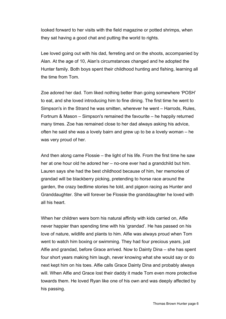looked forward to her visits with the field magazine or potted shrimps, when they sat having a good chat and putting the world to rights.

Lee loved going out with his dad, ferreting and on the shoots, accompanied by Alan. At the age of 10, Alan's circumstances changed and he adopted the Hunter family. Both boys spent their childhood hunting and fishing, learning all the time from Tom.

Zoe adored her dad. Tom liked nothing better than going somewhere 'POSH' to eat, and she loved introducing him to fine dining. The first time he went to Simpson's in the Strand he was smitten, wherever he went – Harrods, Rules, Fortnum & Mason – Simpson's remained the favourite – he happily returned many times. Zoe has remained close to her dad always asking his advice, often he said she was a lovely bairn and grew up to be a lovely woman – he was very proud of her.

And then along came Flossie – the light of his life. From the first time he saw her at one hour old he adored her – no-one ever had a grandchild but him. Lauren says she had the best childhood because of him, her memories of grandad will be blackberry picking, pretending to horse race around the garden, the crazy bedtime stories he told, and pigeon racing as Hunter and Granddaughter. She will forever be Flossie the granddaughter he loved with all his heart.

When her children were born his natural affinity with kids carried on, Alfie never happier than spending time with his 'grandad'. He has passed on his love of nature, wildlife and plants to him. Alfie was always proud when Tom went to watch him boxing or swimming. They had four precious years, just Alfie and grandad, before Grace arrived. Now to Dainty Dina – she has spent four short years making him laugh, never knowing what she would say or do next kept him on his toes. Alfie calls Grace Dainty Dina and probably always will. When Alfie and Grace lost their daddy it made Tom even more protective towards them. He loved Ryan like one of his own and was deeply affected by his passing.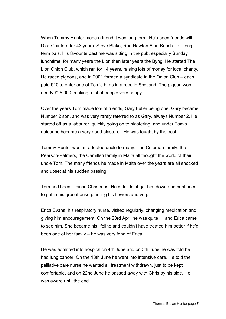When Tommy Hunter made a friend it was long term. He's been friends with Dick Gainford for 43 years. Steve Blake, Rod Newton Alan Beach – all longterm pals. His favourite pastime was sitting in the pub, especially Sunday lunchtime, for many years the Lion then later years the Byng. He started The Lion Onion Club, which ran for 14 years, raising lots of money for local charity. He raced pigeons, and in 2001 formed a syndicate in the Onion Club – each paid £10 to enter one of Tom's birds in a race in Scotland. The pigeon won nearly £25,000, making a lot of people very happy.

Over the years Tom made lots of friends, Gary Fuller being one. Gary became Number 2 son, and was very rarely referred to as Gary, always Number 2. He started off as a labourer, quickly going on to plastering, and under Tom's guidance became a very good plasterer. He was taught by the best.

Tommy Hunter was an adopted uncle to many. The Coleman family, the Pearson-Palmers, the Camilleri family in Malta all thought the world of their uncle Tom. The many friends he made in Malta over the years are all shocked and upset at his sudden passing.

Tom had been ill since Christmas. He didn't let it get him down and continued to get in his greenhouse planting his flowers and veg.

Erica Evans, his respiratory nurse, visited regularly, changing medication and giving him encouragement. On the 23rd April he was quite ill, and Erica came to see him. She became his lifeline and couldn't have treated him better if he'd been one of her family – he was very fond of Erica.

He was admitted into hospital on 4th June and on 5th June he was told he had lung cancer. On the 18th June he went into intensive care. He told the palliative care nurse he wanted all treatment withdrawn, just to be kept comfortable, and on 22nd June he passed away with Chris by his side. He was aware until the end.